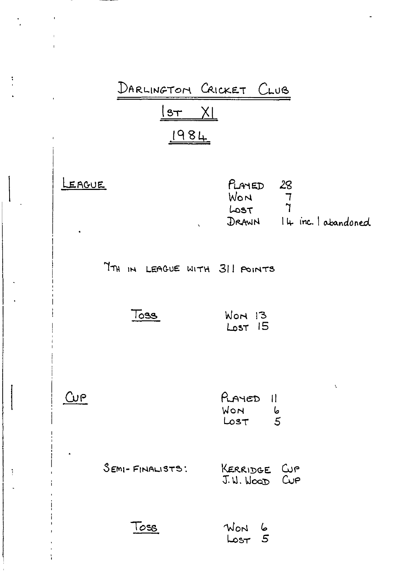

 $\ddot{\ddot{\cdot}}$ 

ă.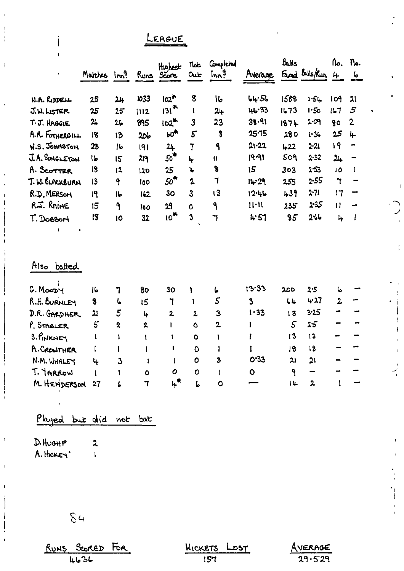LEAGUE

|                      | Matches Inn <sup>9</sup> |                         |                         | Highest<br>Runs Score | $n_{\text{ob}}$<br><b>Out</b> | Completed<br>Im <sup>9</sup> | Avenue       | Balis         | Faced Bells/Run 4 | Λo.                | no.<br>$\epsilon$ |
|----------------------|--------------------------|-------------------------|-------------------------|-----------------------|-------------------------------|------------------------------|--------------|---------------|-------------------|--------------------|-------------------|
|                      |                          |                         |                         |                       |                               |                              |              |               |                   |                    |                   |
| N.A. RIDDELL         | 25                       | 24                      | 1033                    | $102^*$               | 8                             | $\mathsf{I}\mathsf{b}$       | 44.56        | 1588          | 1.54              | 109                | 21                |
| J.W. LISTER          | 25                       | 25                      | 1112                    | $131^{44}$            | $\mathbf{I}$                  | 24                           | 46.33        | 1673          | 1.50              | 167                | 5                 |
| T. J. HAGGIE         | 24                       | 26                      | 895                     | $102$ <sup>*</sup>    | 3                             | 23                           | 38.91        | 1874          | 2.09              | 80                 | $\overline{2}$    |
| A.R. FOTHERGILL      | 18                       | 13                      | 206                     | $60*$                 | $5\overline{ }$               | $\boldsymbol{\delta}$        | 25.15        | 280           | 1.36              | 25                 | 4                 |
| <b>W.S. JOHNSTON</b> | 23                       | 16                      | 191                     | 24                    | $\overline{7}$                | ٩                            | 21.22        | $+22$         | $2 - 21$          | 19                 | ÷                 |
| J.A. SINGLETON       | İω                       | 15                      | 219                     | 50 <sup>4</sup>       | 4                             | $\mathbf{H}$                 | 19-91        | 509           | $2 - 32$          | $\frac{24}{3}$     | $\rightarrow$     |
| A. SCOTTER           | 18                       | 12                      | 120                     | 25                    | 4                             | $\mathbf{8}$                 | 15           | 303           | $2 - 53$          | 10                 | 1                 |
| T. W. BLACKBURN      | 13                       | 9                       | 100                     | 50 <sup>4</sup>       | $\mathbf{2}$                  | 7                            | 14.29        | 255           | 2.55              | $\mathbf{\hat{r}}$ |                   |
| R.D. MERSON          | 19                       | 1 <sub>b</sub>          | 162                     | 30                    | $\overline{3}$                | 13                           | 12.46        | 439           | $2 - 71$          | 17                 | ÷                 |
| R.J. RAINE           | 15                       | ٩                       | 100                     | 29                    | Ó                             | ٩                            | $11 - 11$    | 235           | 2.35              | $\mathbf{H}$       | $\rightarrow$     |
| T. DOBSON            | 18                       | 10                      | 32                      | 10 <sup>4</sup>       | $\overline{\mathbf{3}}$       | ٦                            | 4.51         | 85            | 2%6               | $\frac{1}{2}$      | $\mathbf{l}$      |
|                      |                          |                         |                         |                       |                               |                              |              |               |                   |                    |                   |
|                      |                          |                         |                         |                       |                               |                              |              |               |                   |                    |                   |
| Also batted          |                          |                         |                         |                       |                               |                              |              |               |                   |                    |                   |
| G. Moopy             | 16                       | 7                       | 80                      | 30                    | 1                             | L                            | 13.33        | 200           | 2.5               | 6                  |                   |
| R.H. BURNLEY         | 8                        | し                       | 15                      | $\mathbf 7$           | $\mathbf{1}$                  | 5                            | $\mathbf{3}$ | 44            | 4.27              | $\overline{2}$     |                   |
| D.R. GARDNER         | 21                       | 5                       | 4                       | $\mathbf{z}$          | $\mathbf{z}$                  | 3                            | 1.33         | 13            | 3.25              |                    |                   |
| P. SMBLER            | 5                        | $\overline{\mathbf{2}}$ | $\mathbf{z}$            | $\mathbf{r}$          | Ò                             | $\mathbf 2$                  | Ī            | $\mathcal{S}$ | 2.5               |                    |                   |
| S. PINKNEY           | ï                        | 1                       | $\mathbf{I}$            | 1                     | ٥                             | 1                            | ı            | 13            | 13                |                    |                   |
| A. CROWTHER          | I                        | $\mathbf{I}$            | $\mathbf{I}$            | $\mathbf{I}$          | Ô                             | $\mathbf l$                  | ľ            | 18            | 18                |                    |                   |
| N.M. WHALEY          | 4                        | $\mathbf{3}$            | -1                      | I.                    | O                             | 3                            | 0.33         | 21            | 21                |                    |                   |
| T. IARROW            | ŧ                        | t                       | $\bullet$               | 0                     | $\circ$                       | $\mathbf{I}$                 | $\bullet$    | 9             | -                 |                    |                   |
| M. HENDERSON         | 27                       | 6                       | $\overline{\mathbf{I}}$ | <b>ነት</b>             | i,                            | $\mathbf{o}$                 |              | 14            | $\mathbf{z}$      | $\mathbf{1}$       |                   |
|                      |                          |                         |                         |                       |                               |                              |              |               |                   |                    |                   |

Played but did not bat

 $\overline{\mathbf{2}}$ 

 $D.$  Hugh  $F$ A. HICKEY'  $\overline{1}$ 

 $\mathbf{I}$ 

İ

 $84$ 

RUNS SCORED FOR

| WICKETS | $\text{LOST}$ |
|---------|---------------|
| 157.    |               |

 $\frac{\text{Averse}}{29.529}$ 

 $\mathfrak{f}$ 

 $\frac{1}{\epsilon}$ 

i.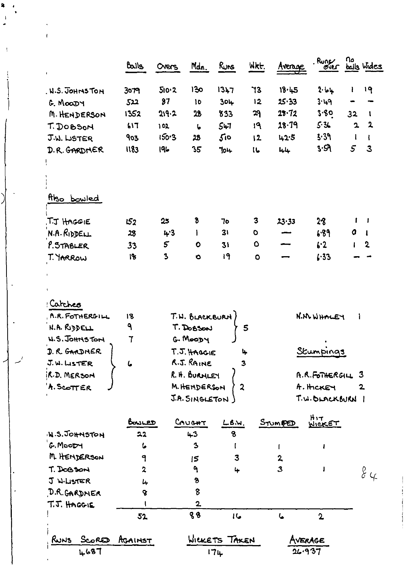| 130<br>1347<br>73<br>18.45<br>2.11<br>19<br>510.2<br>ı<br>. N.S. JOHNSTON<br>3079<br>$\boldsymbol{\delta}$ 7<br>25.33<br>12<br>3.49<br>304<br>522<br>$\mathbf{10}$<br>G. MOODY<br>3.80<br>28.72<br>29<br>1352<br>219.2<br>23<br>833<br>32<br>M. HENDERSON<br>1<br>$\mathbf{2}$<br>28.79<br>5.3<br>$\mathbf{a}$<br>547<br>19<br>617<br>T. DOBSON<br>102<br>ŀ,<br>3.39<br>150.3<br>500<br>903<br>28<br>42.5<br>12<br>ı<br>J.W. LISTER<br>Ł<br>3.59<br>5<br>3<br>1183<br>196<br>35<br>D.R. GARDMER<br>704<br>16<br>L/L<br>Also bowled<br>8<br>3<br>28<br>.T.J HAGGIE<br>25<br>ı<br>J<br>152<br>70<br>$23 - 33$<br>N.A.RipDEL<br>31<br>O<br>4.3<br>6.89<br>28<br>$\bullet$<br>Ł<br>5<br>$\bullet$<br>P. STABLER<br>6.2<br>$\mathbf 2$<br>$\bullet$<br>31<br>$\mathbf{I}$<br>33<br>3<br>19<br>1.33<br>T. YARROW<br>18<br>$\bullet$<br>$\bullet$<br>$\ddot{\phantom{1}}$<br>Catches<br>A.R. FOTHERGILL<br>T.N. BLACKBURN<br>N.M. WHALEY<br>18<br>ł<br>٩<br>N.A. RUDELL<br>T. DOBSON<br>5<br>G. MOODY<br><b>W.S. JOHNSTON</b><br>$\mathbf 7$<br>Stumpings<br>D. R. GARDNER<br>T.J. HAGGIE<br>4<br>R.J. RAINE<br>J.W. LISTER<br>ι,<br>З<br>R. H. BURNLEY<br>R.D. MERSON<br>A.R.FOTHERGIL 3<br>M. HENDERSON<br>A. SCOTTER<br>A. HICKEY<br>$\mathbf{2}$<br>2<br>J.A. SINGLETON)<br>T.W. BLACKBURN  <br>HIT<br>WICKET<br>CAUCHT<br>STUMPED<br>$L$ B.W.<br>BowLED<br>N.S.JOHNSTON<br>8<br>22<br>$+3$<br>'G. MooDH<br>$\mathbf{3}$<br>ما<br>L<br>J<br>M. HENDERSON<br>3<br>9<br>2<br>$\mathsf{15}$<br>3<br>T. DOGSON<br>$\overline{\mathbf{z}}$<br>٩<br>4<br>84<br>9<br>J W.LISTER<br>4<br>8<br>D.R.GARDNER<br>ቄ<br>$\overline{\mathbf{2}}$<br>T.J. HAGGIE<br>88<br>16<br>ι | Balls | Overs | Mdn. | Runs | WKt. | Avenise | Runger      | nο | balls Wides |
|----------------------------------------------------------------------------------------------------------------------------------------------------------------------------------------------------------------------------------------------------------------------------------------------------------------------------------------------------------------------------------------------------------------------------------------------------------------------------------------------------------------------------------------------------------------------------------------------------------------------------------------------------------------------------------------------------------------------------------------------------------------------------------------------------------------------------------------------------------------------------------------------------------------------------------------------------------------------------------------------------------------------------------------------------------------------------------------------------------------------------------------------------------------------------------------------------------------------------------------------------------------------------------------------------------------------------------------------------------------------------------------------------------------------------------------------------------------------------------------------------------------------------------------------------------------------------------------------------------------------------------------------------------------|-------|-------|------|------|------|---------|-------------|----|-------------|
|                                                                                                                                                                                                                                                                                                                                                                                                                                                                                                                                                                                                                                                                                                                                                                                                                                                                                                                                                                                                                                                                                                                                                                                                                                                                                                                                                                                                                                                                                                                                                                                                                                                                |       |       |      |      |      |         |             |    |             |
|                                                                                                                                                                                                                                                                                                                                                                                                                                                                                                                                                                                                                                                                                                                                                                                                                                                                                                                                                                                                                                                                                                                                                                                                                                                                                                                                                                                                                                                                                                                                                                                                                                                                |       |       |      |      |      |         |             |    |             |
|                                                                                                                                                                                                                                                                                                                                                                                                                                                                                                                                                                                                                                                                                                                                                                                                                                                                                                                                                                                                                                                                                                                                                                                                                                                                                                                                                                                                                                                                                                                                                                                                                                                                |       |       |      |      |      |         |             |    |             |
|                                                                                                                                                                                                                                                                                                                                                                                                                                                                                                                                                                                                                                                                                                                                                                                                                                                                                                                                                                                                                                                                                                                                                                                                                                                                                                                                                                                                                                                                                                                                                                                                                                                                |       |       |      |      |      |         |             |    |             |
|                                                                                                                                                                                                                                                                                                                                                                                                                                                                                                                                                                                                                                                                                                                                                                                                                                                                                                                                                                                                                                                                                                                                                                                                                                                                                                                                                                                                                                                                                                                                                                                                                                                                |       |       |      |      |      |         |             |    |             |
|                                                                                                                                                                                                                                                                                                                                                                                                                                                                                                                                                                                                                                                                                                                                                                                                                                                                                                                                                                                                                                                                                                                                                                                                                                                                                                                                                                                                                                                                                                                                                                                                                                                                |       |       |      |      |      |         |             |    |             |
|                                                                                                                                                                                                                                                                                                                                                                                                                                                                                                                                                                                                                                                                                                                                                                                                                                                                                                                                                                                                                                                                                                                                                                                                                                                                                                                                                                                                                                                                                                                                                                                                                                                                |       |       |      |      |      |         |             |    |             |
|                                                                                                                                                                                                                                                                                                                                                                                                                                                                                                                                                                                                                                                                                                                                                                                                                                                                                                                                                                                                                                                                                                                                                                                                                                                                                                                                                                                                                                                                                                                                                                                                                                                                |       |       |      |      |      |         |             |    |             |
|                                                                                                                                                                                                                                                                                                                                                                                                                                                                                                                                                                                                                                                                                                                                                                                                                                                                                                                                                                                                                                                                                                                                                                                                                                                                                                                                                                                                                                                                                                                                                                                                                                                                |       |       |      |      |      |         |             |    |             |
|                                                                                                                                                                                                                                                                                                                                                                                                                                                                                                                                                                                                                                                                                                                                                                                                                                                                                                                                                                                                                                                                                                                                                                                                                                                                                                                                                                                                                                                                                                                                                                                                                                                                |       |       |      |      |      |         |             |    |             |
|                                                                                                                                                                                                                                                                                                                                                                                                                                                                                                                                                                                                                                                                                                                                                                                                                                                                                                                                                                                                                                                                                                                                                                                                                                                                                                                                                                                                                                                                                                                                                                                                                                                                |       |       |      |      |      |         |             |    |             |
|                                                                                                                                                                                                                                                                                                                                                                                                                                                                                                                                                                                                                                                                                                                                                                                                                                                                                                                                                                                                                                                                                                                                                                                                                                                                                                                                                                                                                                                                                                                                                                                                                                                                |       |       |      |      |      |         |             |    |             |
|                                                                                                                                                                                                                                                                                                                                                                                                                                                                                                                                                                                                                                                                                                                                                                                                                                                                                                                                                                                                                                                                                                                                                                                                                                                                                                                                                                                                                                                                                                                                                                                                                                                                |       |       |      |      |      |         |             |    |             |
|                                                                                                                                                                                                                                                                                                                                                                                                                                                                                                                                                                                                                                                                                                                                                                                                                                                                                                                                                                                                                                                                                                                                                                                                                                                                                                                                                                                                                                                                                                                                                                                                                                                                |       |       |      |      |      |         |             |    |             |
|                                                                                                                                                                                                                                                                                                                                                                                                                                                                                                                                                                                                                                                                                                                                                                                                                                                                                                                                                                                                                                                                                                                                                                                                                                                                                                                                                                                                                                                                                                                                                                                                                                                                |       |       |      |      |      |         |             |    |             |
|                                                                                                                                                                                                                                                                                                                                                                                                                                                                                                                                                                                                                                                                                                                                                                                                                                                                                                                                                                                                                                                                                                                                                                                                                                                                                                                                                                                                                                                                                                                                                                                                                                                                |       |       |      |      |      |         |             |    |             |
|                                                                                                                                                                                                                                                                                                                                                                                                                                                                                                                                                                                                                                                                                                                                                                                                                                                                                                                                                                                                                                                                                                                                                                                                                                                                                                                                                                                                                                                                                                                                                                                                                                                                |       |       |      |      |      |         |             |    |             |
|                                                                                                                                                                                                                                                                                                                                                                                                                                                                                                                                                                                                                                                                                                                                                                                                                                                                                                                                                                                                                                                                                                                                                                                                                                                                                                                                                                                                                                                                                                                                                                                                                                                                |       |       |      |      |      |         |             |    |             |
|                                                                                                                                                                                                                                                                                                                                                                                                                                                                                                                                                                                                                                                                                                                                                                                                                                                                                                                                                                                                                                                                                                                                                                                                                                                                                                                                                                                                                                                                                                                                                                                                                                                                |       |       |      |      |      |         |             |    |             |
|                                                                                                                                                                                                                                                                                                                                                                                                                                                                                                                                                                                                                                                                                                                                                                                                                                                                                                                                                                                                                                                                                                                                                                                                                                                                                                                                                                                                                                                                                                                                                                                                                                                                |       |       |      |      |      |         |             |    |             |
|                                                                                                                                                                                                                                                                                                                                                                                                                                                                                                                                                                                                                                                                                                                                                                                                                                                                                                                                                                                                                                                                                                                                                                                                                                                                                                                                                                                                                                                                                                                                                                                                                                                                |       |       |      |      |      |         |             |    |             |
|                                                                                                                                                                                                                                                                                                                                                                                                                                                                                                                                                                                                                                                                                                                                                                                                                                                                                                                                                                                                                                                                                                                                                                                                                                                                                                                                                                                                                                                                                                                                                                                                                                                                |       |       |      |      |      |         |             |    |             |
|                                                                                                                                                                                                                                                                                                                                                                                                                                                                                                                                                                                                                                                                                                                                                                                                                                                                                                                                                                                                                                                                                                                                                                                                                                                                                                                                                                                                                                                                                                                                                                                                                                                                |       |       |      |      |      |         |             |    |             |
|                                                                                                                                                                                                                                                                                                                                                                                                                                                                                                                                                                                                                                                                                                                                                                                                                                                                                                                                                                                                                                                                                                                                                                                                                                                                                                                                                                                                                                                                                                                                                                                                                                                                |       |       |      |      |      |         |             |    |             |
|                                                                                                                                                                                                                                                                                                                                                                                                                                                                                                                                                                                                                                                                                                                                                                                                                                                                                                                                                                                                                                                                                                                                                                                                                                                                                                                                                                                                                                                                                                                                                                                                                                                                |       |       |      |      |      |         |             |    |             |
|                                                                                                                                                                                                                                                                                                                                                                                                                                                                                                                                                                                                                                                                                                                                                                                                                                                                                                                                                                                                                                                                                                                                                                                                                                                                                                                                                                                                                                                                                                                                                                                                                                                                |       |       |      |      |      |         |             |    |             |
|                                                                                                                                                                                                                                                                                                                                                                                                                                                                                                                                                                                                                                                                                                                                                                                                                                                                                                                                                                                                                                                                                                                                                                                                                                                                                                                                                                                                                                                                                                                                                                                                                                                                |       |       |      |      |      |         |             |    |             |
|                                                                                                                                                                                                                                                                                                                                                                                                                                                                                                                                                                                                                                                                                                                                                                                                                                                                                                                                                                                                                                                                                                                                                                                                                                                                                                                                                                                                                                                                                                                                                                                                                                                                |       |       |      |      |      |         |             |    |             |
|                                                                                                                                                                                                                                                                                                                                                                                                                                                                                                                                                                                                                                                                                                                                                                                                                                                                                                                                                                                                                                                                                                                                                                                                                                                                                                                                                                                                                                                                                                                                                                                                                                                                |       |       |      |      |      |         |             |    |             |
|                                                                                                                                                                                                                                                                                                                                                                                                                                                                                                                                                                                                                                                                                                                                                                                                                                                                                                                                                                                                                                                                                                                                                                                                                                                                                                                                                                                                                                                                                                                                                                                                                                                                |       |       |      |      |      |         |             |    |             |
|                                                                                                                                                                                                                                                                                                                                                                                                                                                                                                                                                                                                                                                                                                                                                                                                                                                                                                                                                                                                                                                                                                                                                                                                                                                                                                                                                                                                                                                                                                                                                                                                                                                                |       |       |      |      |      |         |             |    |             |
|                                                                                                                                                                                                                                                                                                                                                                                                                                                                                                                                                                                                                                                                                                                                                                                                                                                                                                                                                                                                                                                                                                                                                                                                                                                                                                                                                                                                                                                                                                                                                                                                                                                                |       |       |      |      |      |         |             |    |             |
|                                                                                                                                                                                                                                                                                                                                                                                                                                                                                                                                                                                                                                                                                                                                                                                                                                                                                                                                                                                                                                                                                                                                                                                                                                                                                                                                                                                                                                                                                                                                                                                                                                                                |       |       |      |      |      |         |             |    |             |
|                                                                                                                                                                                                                                                                                                                                                                                                                                                                                                                                                                                                                                                                                                                                                                                                                                                                                                                                                                                                                                                                                                                                                                                                                                                                                                                                                                                                                                                                                                                                                                                                                                                                |       |       |      |      |      |         |             |    |             |
|                                                                                                                                                                                                                                                                                                                                                                                                                                                                                                                                                                                                                                                                                                                                                                                                                                                                                                                                                                                                                                                                                                                                                                                                                                                                                                                                                                                                                                                                                                                                                                                                                                                                |       |       |      |      |      |         |             |    |             |
|                                                                                                                                                                                                                                                                                                                                                                                                                                                                                                                                                                                                                                                                                                                                                                                                                                                                                                                                                                                                                                                                                                                                                                                                                                                                                                                                                                                                                                                                                                                                                                                                                                                                | 52    |       |      |      |      |         | $\mathbf 2$ |    |             |
|                                                                                                                                                                                                                                                                                                                                                                                                                                                                                                                                                                                                                                                                                                                                                                                                                                                                                                                                                                                                                                                                                                                                                                                                                                                                                                                                                                                                                                                                                                                                                                                                                                                                |       |       |      |      |      |         |             |    |             |

 $\ddot{\mathbf{r}}$  $\mathcal{A}$  $\mathcal{L}$ 

 $\bar{A}$ 

Í

 $\left\langle \right\rangle$  $\ddot{\phantom{a}}$ 

ļ.

 $\ddot{\phantom{a}}$ 

 $\mathcal{L}^{\prime}$  $\overline{\phantom{a}}$ 

 $\overline{a}$ 

 $\ddot{\phantom{1}}$ 

 $\ddot{\phantom{1}}$  $\mathbf{r}$ 

> RUNS SCORED AGAINST WICKETS TAKEN  $174$ 4687

 $A  
26.937$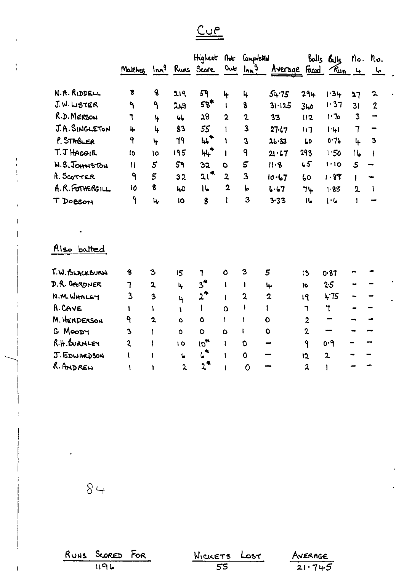$Cur$ </u>

|                 | Matthes Inn <sup>9</sup> Runs Score |                         |                   | Highert                      | $\int$                  | Completed<br>$0$ ut $lnh^9$ | Average Faced |                         | $Balls$ $Buls$<br>$\frac{R_{un}}{u}$ 4 |                | No. No.<br><u>ما</u> |
|-----------------|-------------------------------------|-------------------------|-------------------|------------------------------|-------------------------|-----------------------------|---------------|-------------------------|----------------------------------------|----------------|----------------------|
| N.A. RIDDELL    | 8                                   | $\mathbf{6}$            | 219               | 59                           | 4                       | 4                           | 54.75         | 294                     | 1.34                                   | 27             | $\mathbf{z}$         |
| J.W. LISTER     | ٩                                   | ٩                       | 249               | $58$ <sup>*</sup>            | $\mathbf{I}$            | 8                           | 31.125        | مبا3                    | 1.37                                   | 31             | $\boldsymbol{z}$     |
| R.D. MERSON     | ٦                                   | 4                       | $\mathbf{b}$      | 28                           | $\overline{2}$          | $\mathbf 2$                 | 33            | 112                     | 1.7o                                   | 3              | $\rightarrow$        |
| J.A. SINGLETON  | 4                                   | 4                       | $\boldsymbol{33}$ | 55                           | $\mathbf{1}$            | 3                           | 27.17         | $\overline{11}$         | ·                                      | $\overline{7}$ | -                    |
| P. STABLER      | 9                                   | ት                       | 79                | $\upmu^{\star}$              | ı                       | $\mathbf{3}$                | 26.33         | $\overline{\mathbf{L}}$ | 0.76                                   | 4              | 3                    |
| T.J HAGGIE      | 1D                                  | ١o                      | 195               | ₩,*                          | ı                       | 9                           | 21.17         | 293                     | 1.50                                   | ۱6             | ۱                    |
| W.S. JOHNSTON   | $\mathbf{H}$                        | 5                       | 59                | 32                           | $\bullet$               | 5                           | 11.8          | 65                      | 1.10                                   | 5              |                      |
| A. SCOTTER      | ٩                                   | 5                       | 32                | 21 <sup>m</sup>              | $\overline{2}$          | 3                           | 10.67         | 60                      | 1.89                                   | I              |                      |
| A.R. FOTHERGILL | 10                                  | 8                       | 40                | 16                           | $\overline{\mathbf{2}}$ | Ļ.                          | 6.67          | 74                      | 1.85                                   | 2              | -1                   |
| T DOBSON        | ۹                                   | 4                       | <b>IO</b>         | 8                            | t                       | 3                           | 3.33          | ما ا                    | いし                                     | $\mathbf{I}$   |                      |
| Also batted     |                                     |                         |                   |                              |                         |                             |               |                         |                                        |                |                      |
| T.W. BLACKBURN  | 8                                   | 3                       | 15                | 1                            | 0                       | 3                           | 5             | 13                      | 0.87                                   |                |                      |
| D.R. GARDNER    | 7                                   | $\overline{2}$          | 4                 | $3^*$                        | 1                       | Ł                           | 4             | 10                      | 2.5                                    |                |                      |
| N.M. WHALEY     | $\overline{3}$                      | 3                       | 4                 | $2^*$                        | ŧ                       | $\mathbf{z}$                | $\mathbf{c}$  | 19                      | 4.75                                   |                |                      |
| A.CAVE          | Ł                                   | ۱                       | ١                 | t                            | $\mathbf{o}$            | Ŧ                           | 1             | 7                       | ٦                                      |                |                      |
| M. HENDERSON    | ٩                                   | $\overline{\mathbf{r}}$ | Ò                 | Ò                            | ŧ                       | ł                           | $\mathbf{o}$  | $\overline{2}$          |                                        |                |                      |
| G MOODY         | 3                                   |                         | $\ddot{\circ}$    | $\bullet$                    | $\mathbf 0$             | I                           | $\mathbf 0$   | $\mathbf{2}$            | --                                     |                |                      |
| R.H. SURNLEY    | $\overline{\mathbf{c}}$             |                         | 10                | 10 <sup>th</sup>             | $\mathbf{I}$            | 0                           |               | ۹                       | 0۰۹                                    |                |                      |
| J. EDWARDSON    | t                                   |                         | $\bullet$         | $\boldsymbol{\zeta}^{\star}$ | ۱                       | O                           |               | 12                      | $\overline{z}$                         |                |                      |
| R. ANDREW       | ١                                   | Ł                       | $\mathbf{z}$      | $2^{\bullet}$                | ı                       | $\mathbf 0$                 |               | $\overline{\mathbf{z}}$ | I                                      |                |                      |

 $8 -$ 

 $\frac{1}{1}$ 

 $\bar{1}$ 

 $\mathbf{L}$ 

RUNS SCORED FOR WICKETS LOST  $\frac{\text{Averse}}{21.745}$   $\tilde{\psi}$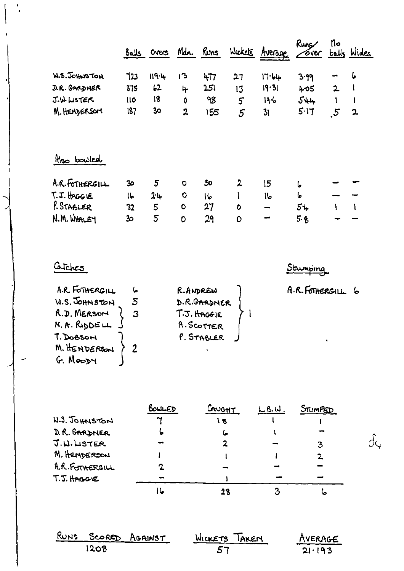|                 |     | Balls Overs   | Mdn. Runs      |     |    | Wickets Average | Runs<br><u> Gver balls Wides</u> | No             |   |
|-----------------|-----|---------------|----------------|-----|----|-----------------|----------------------------------|----------------|---|
| W.S. JOHNSTON   | 123 | 119.4         | ៲ኄ             | 477 | 27 | 17.64           | 3.99                             |                | 6 |
| D.R. GARDNER    | 375 | $\frac{1}{2}$ | 4              | 251 | 13 | 19.31           | 405                              | $\mathbf{2}$   |   |
| J.W. LISTER     | 110 | 18            | 0              | 98  | 5  | 19-6            | $5 + 4$                          |                |   |
| M. HENDERSOM    | 187 | 30            | $\mathfrak{p}$ | 155 | 5  | 31              | 5.17                             | $\mathfrak{s}$ | 2 |
| Mso bowled      |     |               |                |     |    |                 |                                  |                |   |
| A.R. FOTHERGILL | 30  | 5             | $\bullet$      | 30  | 2  | 15              | ما                               |                |   |
| $T.T.$ HAGG LE  | し   | $2 - 4$       | O              | 16  |    | ľЬ              | ها                               |                |   |
| P. STABLER      | 32  | 5             | $\bullet$      | 27  | O  | --              | $5+$                             |                |   |
| N.M. WHALEY     | 30  | 5             | $\circ$        | 29  | 0  |                 | 5.8                              |                |   |

## Catches

 $\mathbf{r}$ 

A.R. FOTHERGILL R. ANDREW  $\pmb{\mathsf{L}}$ W.S. JOHNSTON D.R.GARDNER  $5\overline{)}$ R.D. MERSON  $\overline{\mathbf{3}}$  $T.3.$ HAGGIE  $\mathbf{I}$ A. SCOTTER N. A. RUDDELL P. STABLER T. DoBSON M. HENDERSON  $\overline{2}$  $\ddot{\phantom{0}}$ G. Moopy

A.R.FOTHERGILL 6

 $\delta$ 4

Stumping

|                 | BONLED | CAUGHT | $L.8.$ W. | STUMPED |  |
|-----------------|--------|--------|-----------|---------|--|
| W.S. JOHNSTON   | ∼      | ١B     |           |         |  |
| D.R. GARDNER    |        | صا     |           |         |  |
| J.W.LSTER       |        |        |           | 3       |  |
| M. HENDERSON    |        |        |           |         |  |
| A.R. FOTHERGILL |        |        |           |         |  |
| T.J. HAGGVE     |        |        |           |         |  |
|                 |        |        |           | Ø       |  |

| RUNS SCORED AGAINST | WICKETS TAKEN | AVERAGE                               |
|---------------------|---------------|---------------------------------------|
| 1208.               | -57           | ويتوسع ومستوافقه المتواطنات<br>21.193 |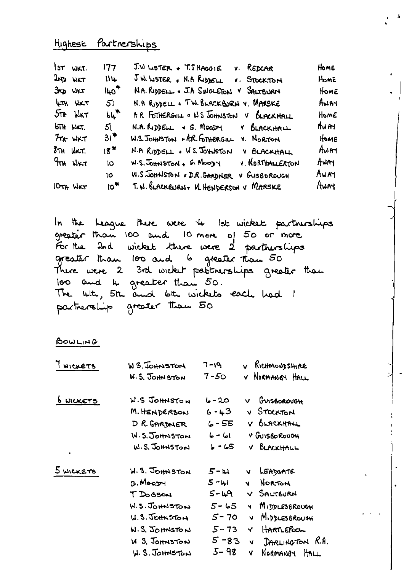## Highest Partnerships

|                                 | $3\tau$ wkt.   | 177                  | $J.W$ LISTER + $T.T$ HAGGIE V. REDCAR                | Home    |
|---------------------------------|----------------|----------------------|------------------------------------------------------|---------|
| $20D$ WKT                       |                | 114                  | JW. LISTER . N.A RIDDELL V. STOCKTON                 | Home    |
| <b>3RD WKT</b>                  |                | $\mu_0$ <sup>*</sup> | N.A. RUDELL . J.A SINGLETON V SALTBURN               | HOME    |
|                                 | <b>ATH WKT</b> | 5 <sub>1</sub>       | N.A RIDDELL . TW. BLACKBURN V. MARSKE                | AWAY    |
|                                 | $5\pi$ WKT     | 6 <sup>m</sup>       | AR FOTHERGILL . WS JOHNSTON V BLACKHALL              | HomE    |
| <b>6TH WKT.</b>                 |                | 5 <sup>1</sup>       | $N.A.$ Reposit $\rightarrow$ G. Moody<br>V BLACKHALL | Aum.    |
|                                 | $7m$ WKT       | $31*$                | W.S. JOHNSTON + A.R. FOTHERGILL Y. NORTON            | HOME    |
| $8\pi$ H $M$ KT.                |                | 18*                  | N.A RIDDELL . W.S. JOHNSTON V BLACKHALL              | $A$ WAH |
| <b>TTH WKT</b>                  |                | lO.                  | W.S. JOHNSTON, G. MOODY V. NORTHALLERTON             | ANAY    |
|                                 |                | 10                   | W.S. JOHNSTON & D.R. GARDNER<br>V GUSBOROUGH         | AWAY    |
| 10 <sub>Th</sub> W <sub>K</sub> |                | $10^{\frac{m}{2}}$   | T. N. BLACKBURN, VI HENDERSON V MARSKE               | $A$ WAY |

 $\Delta$ 

In the League there were 4 Ist wicket partnerships greater than 100 and 10 more of 50 or more For the 2nd wicket there were 2 partnerships greater than 100 and 6 greater than 50 There were 2 3rd wicket pastnerships greater than 100 and 4 greater than 50. "<br>The 4th, 5th and 6th wickets each had 1 partnership greater than 50

BOWLING

| WICKETS          | W S. JOHNSTON         | $7 - 19$ | Richmondshire<br>ν                       |
|------------------|-----------------------|----------|------------------------------------------|
|                  | <b>W.S. JOHN STON</b> | $7 - 50$ | V NORMANISY HALL                         |
| <b>6 WICKETS</b> | W.S JOHNSTON          | 20 - ما  | GUISBOROUGH<br>v.                        |
|                  | M. HENDERSON          | 6 - 43   | V STOCKTON                               |
|                  | D R. GARDNER          | 6 - 55   | v BLACKHALL                              |
|                  | W.S. JOHNSTON         | $6 - 61$ | V GUISBOROUGH                            |
| ٠                | W.S. JOHNSTON         | $6 - 65$ | V BLACKHALL                              |
| 5 WICKETS        | W.S. JOHNSTON         | 5-H      | LEADGATE<br><b>V</b>                     |
|                  | G. Moopy              | $5 - 41$ | NORTON<br>Ÿ                              |
|                  | T DOBSON              | $5 - 49$ | V SALTBURN                               |
|                  | W.S. JOHNSTON         | $5 - 65$ | MIDDLESBROUGH<br>$\overline{\mathbf{v}}$ |
|                  | <b>U.S. JOHNSTON</b>  | 5-70     | MIDDLESBROUGH<br>Ñ                       |
|                  | W.S. JOHNSTON         | $5 - 73$ | HARTLEPOOL<br>м                          |
|                  | W S. JOHNSTON         | $5 - 83$ | DARLINGTON R.A.<br>V.                    |
|                  | $M.S.$ JOHNSTON       | 5- 98    | Normanoy HALL<br>V.                      |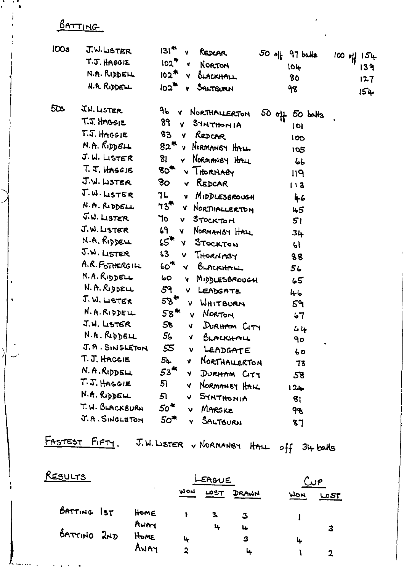BATTING

| <b>IOOs</b> | J.W.LISTER                                   | $131^*$<br>REDCAR<br>Y<br>$50$ off 97 balls             | 154             |
|-------------|----------------------------------------------|---------------------------------------------------------|-----------------|
|             | T.J. HAGGIE                                  | $102^{\frac{m}{2}}$ v<br>NORTON<br>101-                 | $100$ of<br>139 |
|             | N.A. RIDDELL                                 | $102$ <sup>**</sup><br>BLACKHALL<br>$\mathbf{Y}$<br>80  | 127             |
|             | N.A. RIDDELL                                 | $\overline{102}$<br>SALTBURN<br>$\mathbf{v}$<br>१४      | 154             |
| 50s         | J.W. LISTER                                  | 96<br>V NORTHALLERTON<br>$50$ off<br>$50$ $b$ $M3$      |                 |
|             | T.J. HAGGIE                                  | 89 <sub>1</sub><br><b>SYNTHONIA</b><br>v.<br>IоI        |                 |
|             | $T.S.$ HAGGIE                                | 83<br>REDCAR<br>Ý.<br>100                               |                 |
|             | $N.$ A. $R$ <sub>i</sub> pp $\epsilon$ $\mu$ | 82 <sup>m</sup><br>NORMANBY HALL<br>$\mathbf{v}$<br>195 |                 |
|             | J. W. LISTER                                 | 81<br>NORMANBY HALL<br>Ÿ.<br>66                         |                 |
|             | $T.5.$ HAGGIE                                | 80 <sup>4</sup><br>v THORNABY<br>119                    |                 |
|             | J.W. LISTER                                  | 80<br>REDCAR<br>Ÿ.<br>113                               |                 |
|             | J.W. LISTER                                  | 76<br>MIDDLESBROUGH<br>$\mathbf{v}$<br>46               |                 |
|             | N.A. RIDDELL                                 | ካ $3^{\prime\prime}$<br>V NORTHALLERTON<br>45           |                 |
|             | J.W. LISTER                                  | ٦o<br>STOCKTON<br>$\mathbf{v}$<br>51                    |                 |
|             | J.W. LISTER                                  | ሬዓ<br>NORMANBY HALL<br>V.<br>34                         |                 |
|             | N.A. RIDDELL                                 | $65*$<br>STOCKTON<br>N.<br>61                           |                 |
|             | J.W. LISTER                                  | 53<br>THORNABY<br>v<br>88                               |                 |
|             | A.R.FOTHERGILL                               | 60 <sup>4</sup><br>BLACKHALL<br>$\checkmark$<br>56      |                 |
|             | N.A.RIDDELL                                  | 60<br>MIDDLESBROUGH<br>Ÿ<br>65                          |                 |
|             | N. A. RIDDELL                                | 59<br>V<br>LEADGATE<br>ماسا                             |                 |
|             | J. W. LSTER                                  | $58*$<br>WHITBURN<br>v.<br>59                           |                 |
|             | N.A.RIDDELL                                  | $58^{\prime\prime}$<br>NORTON<br>v.<br>67               |                 |
|             | J.W. LISTER                                  | 58<br>DURHAM CITY<br>V.<br>44                           |                 |
|             | N.A. RIDDELL                                 | 56<br>BLACKHALL<br>V.<br>90                             |                 |
|             | J.A. SINGLETON                               | 55<br>LEADGATE<br>ν<br>60                               |                 |
|             | T.J. HAGGIE                                  | 54<br>NORTHALLERTON<br>V<br>73                          |                 |
|             | N.A.RIDDELL                                  | 53 <sup>4k</sup><br>DURHAM CITY<br>V.<br>58             |                 |
|             | $T.T.$ HAGGIE                                | 51<br>NORMANBY HALL<br>Y.<br>$124 -$                    |                 |
|             | N.A. RIDDELL                                 | 51<br>SYNTHONIA<br>v.<br>$\mathbf{g}_1$                 |                 |
|             | T. W. BLACKBURN                              | $50^*$<br>MARSKE<br>v<br>98                             |                 |
|             | J.A. SINGLETON                               | 50 <sup>4</sup><br>SALTBURN<br>Y<br>87                  |                 |

FASTEST FIFTY. J.W. WSTER & NORMANBY HALL off 34 balls

| <u>RESULTS</u> |  |      |            | LEAGUE | من    |     |      |
|----------------|--|------|------------|--------|-------|-----|------|
|                |  | х.   | <b>WON</b> | LOST   | DRAWN | MON | ட்கா |
| BATTING IST    |  | Home |            |        | З     |     |      |
|                |  | AWAY |            | ц      | 4     |     | 3    |
| BATTING 2ND    |  | HOME | بنا        |        | з     | ц.  |      |
|                |  | AWAY | י          |        |       |     |      |